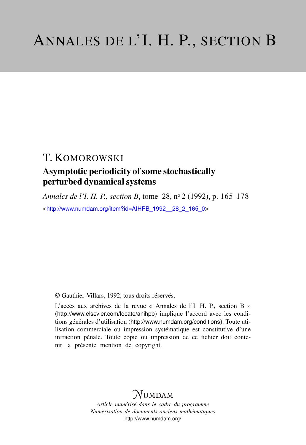# T. KOMOROWSKI

# Asymptotic periodicity of some stochastically perturbed dynamical systems

*Annales de l'I. H. P., section B*, tome 28, n<sup>o</sup> 2 (1992), p. 165-178 <[http://www.numdam.org/item?id=AIHPB\\_1992\\_\\_28\\_2\\_165\\_0](http://www.numdam.org/item?id=AIHPB_1992__28_2_165_0)>

© Gauthier-Villars, 1992, tous droits réservés.

L'accès aux archives de la revue « Annales de l'I. H. P., section B » (<http://www.elsevier.com/locate/anihpb>) implique l'accord avec les conditions générales d'utilisation (<http://www.numdam.org/conditions>). Toute utilisation commerciale ou impression systématique est constitutive d'une infraction pénale. Toute copie ou impression de ce fichier doit contenir la présente mention de copyright.

# $N$ UMDAM

*Article numérisé dans le cadre du programme Numérisation de documents anciens mathématiques* <http://www.numdam.org/>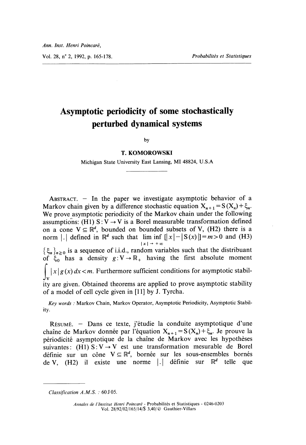Vol. 28, n° 2, 1992, p. 165-178. Probabilités et Statistiques

# Asymptotic periodicity of some stochastically perturbed dynamical systems

by

#### T. KOMOROWSKI

Michigan State University East Lansing, MI 48824, U.S.A

ABSTRACT.  $-$  In the paper we investigate asymptotic behavior of a Markov chain given by a difference stochastic equation  $X_{n+1} = S(X_n) + \xi_n$ . We prove asymptotic periodicity of the Markov chain under the following assumptions: (H1)  $S: V \rightarrow V$  is a Borel measurable transformation defined on a cone  $V \subseteq \mathbb{R}^d$ , bounded on bounded subsets of V, (H2) there is a norm |.| defined in  $\mathbb{R}^d$  such that  $\lim_{|x| \to +\infty} \inf_{x| \to +\infty} [|x| - |S(x)|] = m > 0$  and (H3)  $\{\xi_n\}_{n\geq 0}$  is a sequence of i.i.d., random variables such that the distribuant of  $\xi_0$  has a density  $g: V \to \mathbb{R}_+$  having the first absolute moment  $\int |x| g(x) dx < m$ . Furthermore sufficient conditions for asymptotic stability are given. Obtained theorems are applied to prove asymptotic stability of a model of cell cycle given in [11] by J. Tyrcha.

Key words : Markov Chain, Markov Operator, Asymptotic Periodicity, Asymptotic Stability.

RESUME. - Dans ce texte, j'etudie la conduite asymptotique d'une chaîne de Markov donnée par l'équation  $X_{n+1} = S(X_n) + \xi_n$ . Je prouve la périodicité asymptotique de la chaine de Markov avec les hypotheses suivantes: (H1)  $S: V \rightarrow V$  est une transformation mesurable de Borel définie sur un cône  $V \subseteq \mathbb{R}^d$ , bornée sur les sous-ensembles bornés de V, (H2) il existe une norme  $| \cdot |$  définie sur  $\mathbb{R}^d$  telle que

Classification A.M.S. : 60 J 05.

Annales de l'Institut Henri Poincaré - Probabilités et Statistiques - 0246-0203 Vol. 28/92/02/165/14/\$ 3,40/ © Gauthier-Villars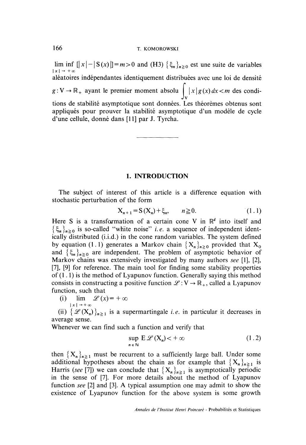## 166 T. KOMOROWSKI

lim inf  $[|x| - |S(x)|] = m > 0$  and (H3)  $\{\xi_n\}_{n \ge 0}$  est une suite de variables aléatoires independantes identiquement distribuées avec une loi de densité  $g:V\to\mathbb{R}_+$  ayant le premier moment absolu  $|x|g(x)dx < m$  des conditions de stabilité asymptotique sont données. Les theoremes obtenus sont appliqués pour prouver la stabilité asymptotique d'un modèle de cycle d'une cellule, donne dans [11] par J. Tyrcha.

#### 1. INTRODUCTION

The subject of interest of this article is a difference equation with stochastic perturbation of the form

$$
X_{n+1} = S(X_n) + \xi_n, \qquad n \ge 0.
$$
 (1.1)

Here S is a transformation of a certain cone V in  $\mathbb{R}^d$  into itself and  $\{\xi_n\}_{n\geq 0}$  is so-called "white noise" *i.e.* a sequence of independent identically distributed (i.i.d.) in the cone random variables. The system defined by equation (1.1) generates a Markov chain  ${X_n}_{n \geq 0}$  provided that  $X_0$ and  $\{\xi_n\}_{n\geq 0}$  are independent. The problem of asymptotic behavior of Markov chains was extensively investigated by many authors see [1], [2], [7], [9] for reference. The main tool for finding some stability properties of  $(1.1)$  is the method of Lyapunov function. Generally saying this method consists in constructing a positive function  $\mathcal{L}: V \to \mathbb{R}_+$ , called a Lyapunov function, such that<br>(i)  $\lim_{x \to 0} \mathcal{L}(x) = +\infty$ 

 $(i)$ lim  $|x| \rightarrow +\infty$ 

(ii)  $\{ \mathcal{L}(X_n) \}_{n \geq 1}$  is a supermartingale *i.e.* in particular it decreases in average sense.

Whenever we can find such a function and verify that

$$
\sup_{n \in \mathbb{N}} \mathbf{E} \mathcal{L}(\mathbf{X}_n) < +\infty \tag{1.2}
$$

then  ${X_n}_{n\geq 1}$  must be recurrent to a sufficiently large ball. Under some additional hypotheses about the chain as for example that  ${X_n}_{n\geq 1}$  is Harris (see [7]) we can conclude that  $\{X_n\}_{n\geq 1}$  is asymptotically periodic in the sense of [7]. For more details about the method of Lyapunov function see [2] and [3]. A typical assumption one may admit to show the existence of Lyapunov function for the above system is some growth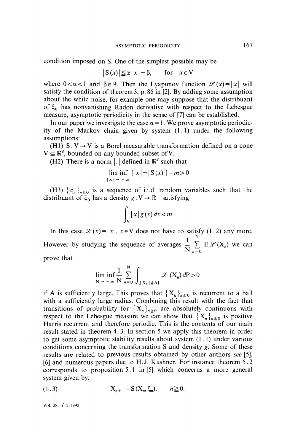condition imposed on S. One of the simplest possible may be

$$
|S(x)| \leq \alpha |x| + \beta, \quad \text{for} \quad x \in V
$$

where  $0 < \alpha < 1$  and  $\beta \in \mathbb{R}$ . Then the Lyapunov function  $\mathscr{L}(x)=|x|$  will satisfy the condition of theorem 3, p. 86 in [2]. By adding some assumption about the white noise, for example one may suppose that the distribuant of  $\xi_0$  has nonvanishing Radon derivative with respect to the Lebesgue measure, asymptotic periodicity in the sense of [7] can be established.

In our paper we investigate the case  $\alpha = 1$ . We prove asymptotic periodicity of the Markov chain given by system  $(1.1)$  under the following assumptions:

(H1)  $S: V \rightarrow V$  is a Borel measurable transformation defined on a cone  $V \subseteq \mathbb{R}^d$ , bounded on any bounded subset of V.

(H2) There is a norm |.  $\vert$  defined in  $\mathbb{R}^d$  such that

$$
\lim_{|x| \to +\infty} \inf_{x} |x| - |S(x)| = m > 0
$$

(H3)  $\{\xi_n\}_{n\geq 0}$  is a sequence of i.i.d. random variables such that the distribuant of  $\xi_0$  has a density  $g: V \to \mathbb{R}_+$  satisfying

$$
\int_{\mathbf{V}} |x| g(x) \, dx < m
$$

In this case  $\mathcal{L}(x) = |x|, x \in V$  does not have to satisfy (1.2) any more. However by studying the sequence of averages  $\frac{1}{N} \sum_{n=0}^N E \mathcal{L}(X_n)$  we can

prove that

$$
\lim_{N \to +\infty} \inf_{N} \frac{1}{N} \sum_{n=0}^{N} \int_{\left\{ |X_n| \le A \right\}} \mathcal{L}(X_n) dP > 0
$$

if A is sufficiently large. This proves that  $\{X_k\}_{k\geq 0}$  is recurrent to a ball with a sufficiently large radius. Combining this result with the fact that transitions of probability for  $\{X_n\}_{n\geq 0}$  are absolutely continuous with respect to the Lebesgue measure we can show that  ${X_n}_{n \geq 0}$  is positive Harris recurrent and therefore periodic. This is the contents of our main result stated in theorem 4. 3. In section 5 we apply this theorem in order to get some asymptotic stability results about system  $(1, 1)$  under various conditions concerning the transformation S and density  $g$ . Some of these results are related to previous results obtained by other authors see [5], [6] and numerous papers due to H. J. Kushner. For instance theorem 5 . 2 corresponds to proposition 5. 1 in [5] which concerns a more general system given by:

(1.3) 
$$
X_{n+1} = S(X_n, \xi_n), \quad n \ge 0.
$$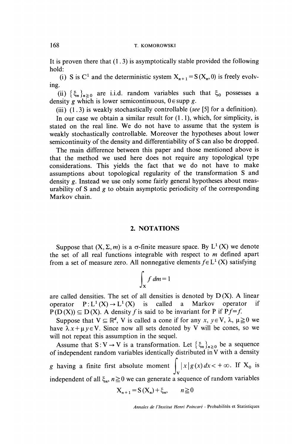#### 168 T. KOMOROWSKI

It is proven there that  $(1, 3)$  is asymptotically stable provided the following hold:

(i) S is C<sup>1</sup> and the deterministic system  $X_{n+1} = S(X_n, 0)$  is freely evolving.

(ii)  $\{\xi_n\}_{n \geq 0}$  are i.i.d. random variables such that  $\xi_0$  possesses a density g which is lower semicontinuous,  $0 \in \text{supp } g$ .

(iii)  $(1.3)$  is weakly stochastically controllable (see [5] for a definition).

In our case we obtain a similar result for  $(1.1)$ , which, for simplicity, is stated on the real line. We do not have to assume that the system is weakly stochastically controllable. Moreover the hypotheses about lower semicontinuity of the density and differentiability of S can also be dropped.

The main difference between this paper and those mentioned above is that the method we used here does not require any topological type considerations. This yields the fact that we do not have to make assumptions about topological regularity of the transformation S and density g. Instead we use only some fairly general hypotheses about measurability of S and  $g$  to obtain asymptotic periodicity of the corresponding Markov chain.

## 2. NOTATIONS

Suppose that  $(X, \Sigma, m)$  is a  $\sigma$ -finite measure space. By  $L^1(X)$  we denote the set of all real functions integrable with respect to  $m$  defined apart from a set of measure zero. All nonnegative elements  $f \in L^1(X)$  satisfying

$$
\int_{\mathbf{X}} f \, dm = 1
$$

are called densities. The set of all densities is denoted by  $D(X)$ . A linear operator  $P: L^1(X) \to L^1(X)$  is called a Markov operator if  $P(D(X)) \subseteq D(X)$ . A density f is said to be invariant for P if Pf=f.

Suppose that  $V \subseteq \mathbb{R}^d$ , V is called a cone if for any x,  $y \in V$ ,  $\lambda$ ,  $\mu \ge 0$  we have  $\lambda x + \mu y \in V$ . Since now all sets denoted by V will be cones, so we will not repeat this assumption in the sequel.

Assume that S: V  $\rightarrow$  V is a transformation. Let  $\{\xi_n\}_{n\geq 0}$  be a sequence of independent random variables identically distributed in  $V$  with a density g having a finite first absolute moment  $\int_{V} |x| g(x) dx < +\infty$ . If  $X_0$  is independent of all  $\xi_n$ ,  $n \ge 0$  we can generate a sequence of random variables

$$
X_{n+1} = S(X_n) + \xi_n, \qquad n \ge 0
$$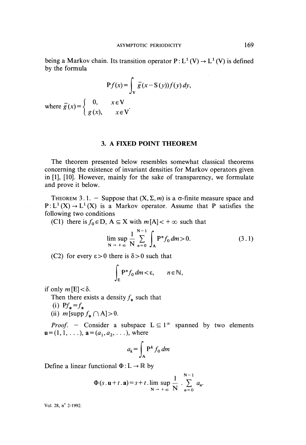being a Markov chain. Its transition operator  $P: L^1(V) \to L^1(V)$  is defined by the formula

$$
Pf(x) = \int_{V} \overline{g}(x - S(y)) f(y) dy,
$$

where  $\overline{g}(x) = \begin{cases} 0, & x \in V \\ g(x), & x \in V \end{cases}$ 

## 3. A FIXED POINT THEOREM

The theorem presented below resembles somewhat classical theorems concerning the existence of invariant densities for Markov operators given in  $[1]$ ,  $[10]$ . However, mainly for the sake of transparency, we formulate and prove it below.

THEOREM 3.1. - Suppose that  $(X, \Sigma, m)$  is a  $\sigma$ -finite measure space and  $P: L^1(X) \to L^1(X)$  is a Markov operator. Assume that P satisfies the following two conditions

(C1) there is  $f_0 \in D$ ,  $A \subseteq X$  with  $m[A] < +\infty$  such that

$$
\limsup_{N \to +\infty} \frac{1}{N} \sum_{n=0}^{N-1} \int_{A} P^{n} f_0 \, dm > 0. \tag{3.1}
$$

(C2) for every  $\varepsilon > 0$  there is  $\delta > 0$  such that

$$
\int_{E} \mathbf{P}^n f_0 \, dm < \varepsilon, \qquad n \in \mathbb{N},
$$

if only  $m[E] < \delta$ .

Then there exists a density  $f_*$  such that

- (i)  $Pf_* = f_*$
- (ii)  $m$  [supp  $f_* \cap A$ ] > 0.

*Proof.* - Consider a subspace  $L \subseteq 1^{\infty}$  spanned by two elements  ${\bf u} = (1, 1, \ldots),$   ${\bf a} = (a_1, a_2, \ldots),$  where

$$
a_k = \int_{\mathbf{A}} \mathbf{P}^k f_0 \, dm
$$

Define a linear functional  $\Phi : L \to \mathbb{R}$  by

$$
\Phi(s.\mathbf{u}+t.\mathbf{a})=s+t.\lim_{N\to+\infty}\sup_{N}\frac{1}{N}\sum_{n=0}^{N-1}a_n.
$$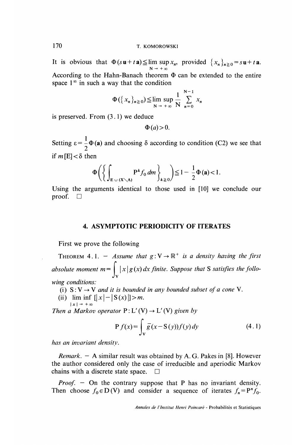It is obvious that  $\Phi(s\mathbf{u}+t\mathbf{a}) \leq \limsup x_n$ , provided  $\{x_n\}_{n\geq 0} = s\mathbf{u}+t\mathbf{a}$ .  $N \rightarrow +\infty$ According to the Hahn-Banach theorem  $\Phi$  can be extended to the entire space  $1^{\infty}$  in such a way that the condition

$$
\Phi(\lbrace x_n \rbrace_{n \geq 0}) \leq \limsup_{N \to +\infty} \frac{1}{N} \sum_{n=0}^{N-1} x_n
$$

is preserved. From  $(3.1)$  we deduce

$$
\Phi(a) > 0.
$$

Setting  $\varepsilon = \frac{1}{2}\Phi(\mathbf{a})$  and choosing  $\delta$  according to condition (C2) we see that if  $m[E]<\delta$  then

$$
\Phi\bigg(\bigg\{\int_{E\ \cup\ (X\setminus A)} P^k f_0\, dm\bigg\}_{k\geq 0}\bigg) \leq 1-\frac{1}{2}\Phi\left(a\right) < 1.
$$

Using the arguments identical to those used in [ 10] we conclude our proof.  $\square$ 

# 4. ASYMPTOTIC PERIODICITY OF ITERATES

First we prove the following

THEOREM 4.1. - Assume that  $g: V \to \mathbb{R}^+$  is a density having the first absolute moment  $m = \int_{\mathbb{R}} |x| g(x) dx$  finite. Suppose that S satisfies the following conditions:

- (i)  $S: V \rightarrow V$  and it is bounded in any bounded subset of a cone V.
- (ii) lim inf  $[|x| |S(x)|] > m$ .

Then a Markov operator  $P: L'(V) \to L'(V)$  given by

$$
P f(x) = \int_{V} \overline{g}(x - S(y)) f(y) dy
$$
 (4.1)

has an invariant density.

*Remark.*  $-$  A similar result was obtained by A. G. Pakes in [8]. However the author considered only the case of irreducible and aperiodic Markov chains with a discrete state space.  $\square$ 

*Proof.* - On the contrary suppose that P has no invariant density. Then choose  $f_0 \in D(V)$  and consider a sequence of iterates  $f_n = P^n f_0$ .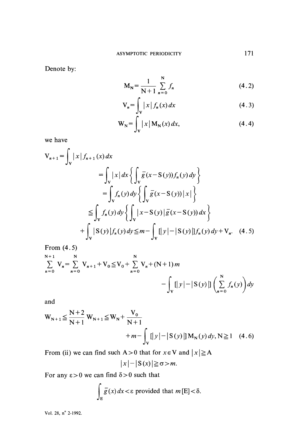Denote by:

$$
M_N = \frac{1}{N+1} \sum_{n=0}^{N} f_n
$$
 (4.2)

$$
V_n = \int_V |x| f_n(x) dx \tag{4.3}
$$

$$
\mathbf{W}_{\mathbf{N}} = \int_{\mathbf{V}} |x| \mathbf{M}_{\mathbf{N}}(x) dx, \tag{4.4}
$$

we have

$$
V_{n+1} = \int_{V} |x| f_{n+1}(x) dx
$$
  
\n
$$
= \int_{V} |x| dx \left\{ \int_{V} \overline{g}(x - S(y)) f_{n}(y) dy \right\}
$$
  
\n
$$
= \int_{V} f_{n}(y) dy \left\{ \int_{V} \overline{g}(x - S(y)) |x| \right\}
$$
  
\n
$$
\leq \int_{V} f_{n}(y) dy \left\{ \int_{V} |x - S(y)| \overline{g}(x - S(y)) dx \right\}
$$
  
\n
$$
+ \int_{V} |S(y)| f_{n}(y) dy \leq m - \int_{V} [|y| - |S(y)|] f_{n}(y) dy + V_{n}.
$$
 (4.5)

From  $(4.5)$ 

$$
\sum_{n=0}^{N+1} V_n = \sum_{n=0}^{N} V_{n+1} + V_0 \le V_0 + \sum_{n=0}^{N} V_n + (N+1)m - \int_V [y] - |S(y)| \int_{y=0}^{N} \left( \sum_{n=0}^{N} f_n(y) \right) dy
$$

and

$$
W_{N+1} \le \frac{N+2}{N+1} W_{N+1} \le W_N + \frac{V_0}{N+1} + m - \int_V [|y| - |S(y)|] M_N(y) dy, N \ge 1 \quad (4.6)
$$

$$
|x| - |S(x)| \geq \sigma > m.
$$

For any  $\varepsilon > 0$  we can find  $\delta > 0$  such that

$$
\int_{E} \overline{g}(x) dx < \varepsilon
$$
 provided that  $m[E] < \delta$ .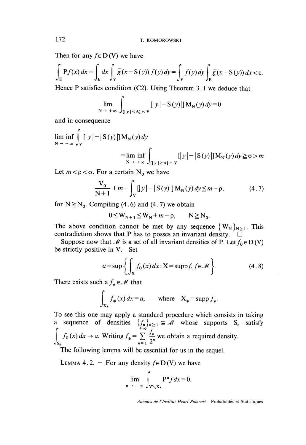Then for any  $f \in D(V)$  we have

$$
\int_{E} P f(x) dx = \int_{E} dx \int_{V} \overline{g}(x - S(y)) f(y) dy = \int_{V} f(y) dy \int_{E} \overline{g}(x - S(y)) dx < \varepsilon.
$$

Hence P satisfies condition (C2). Using Theorem 3.1 we deduce that

$$
\lim_{N \to +\infty} \int_{\left[ |y| < A\right] \cap V} \left[ |y| - S(y) \right] M_N(y) dy = 0
$$

and in consequence

$$
\liminf_{N \to +\infty} \int_{V} [|y| - |S(y)|] M_{N}(y) dy
$$
  
= 
$$
\liminf_{N \to +\infty} \int_{[|y| \ge A] \cap V} [|y| - |S(y)|] M_{N}(y) dy \ge \sigma > m
$$

Let  $m < \rho < \sigma$ . For a certain N<sub>o</sub> we have

$$
\frac{V_0}{N+1} + m - \int_V [|y| - |S(y)|] M_N(y) dy \le m - \rho,
$$
 (4.7)

for  $N \geq N_0$ . Compiling (4.6) and (4.7) we obtain

$$
0 \leq W_{N+1} \leq W_N + m - \rho, \qquad N \geq N_0.
$$

The above condition cannot be met by any sequence  $\{W_N\}_{N\geq 1}$ . This contradiction shows that P has to posses an invariant density.

Suppose now that M is a set of all invariant densities of P. Let  $f_0 \in D(V)$ be strictly positive in V. Set

$$
a = \sup \left\{ \int_{\mathbf{X}} f_0(x) dx : \mathbf{X} = \mathrm{supp} f, f \in \mathcal{M} \right\}.
$$
 (4.8)

There exists such a  $f_* \in \mathcal{M}$  that

$$
\int_{X_*} f_*(x) dx = a, \qquad \text{where} \quad X_* = \text{supp } f_*.
$$

To see this one may apply a standard procedure which consists in taking a sequence of densities  $\{f\}$   $\subset M$  whose supports S satisfy  $f^*$  +00  $f^*$  $\int f_0(x) dx \rightarrow a$ . Writing  $f_* = \sum \frac{f_n}{2^n}$  we obtain a required density

The following lemma will be essential for us in the sequel.

LEMMA 4.2. - For any density  $f \in D(V)$  we have

$$
\lim_{n \to +\infty} \int_{V \setminus X*} P^n f dx = 0.
$$

Annales de l'Institut Henri Poincaré - Probabilités et Statistiques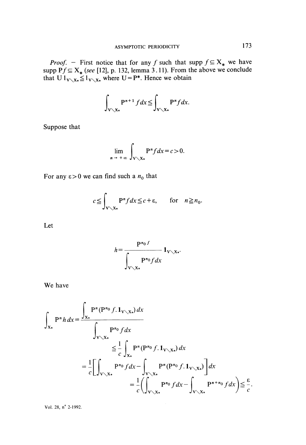*Proof.* - First notice that for any f such that supp  $f \subseteq X_*$  we have supp  $P f \subseteq X_*$  (see [12], p. 132, lemma 3.11). From the above we conclude that  $U 1_{V \setminus X_*} \leq 1_{V \setminus X_*}$  where  $U = P^*$ . Hence we obtain

$$
\int_{V\setminus X*} P^{n+1} f dx \leqq \int_{V\setminus X*} P^n f dx.
$$

Suppose that

$$
\lim_{n \to +\infty} \int_{\mathbf{V} \setminus \mathbf{X}^*} \mathbf{P}^n f dx = c > 0.
$$

For any  $\varepsilon > 0$  we can find such a  $n_0$  that

$$
c \leqq \int_{\mathbf{V} \setminus \mathbf{X}^*} \mathbf{P}^n f \, dx \leqq c + \varepsilon, \qquad \text{for} \quad n \geqq n_0.
$$

Let

$$
h = \frac{P^{n_0 f}}{\int_{V \setminus X_*} P^{n_0} f dx} \mathbf{1}_{V \setminus X_*}.
$$

We have

$$
\int_{\mathbf{X}_{\mathbf{x}}} \mathbf{P}^n h \, dx = \frac{\int_{\mathbf{X}_{\mathbf{x}}} \mathbf{P}^n(\mathbf{P}^n \circ f. \mathbf{1}_{\mathbf{V} \setminus \mathbf{X}_{\mathbf{x}}}) \, dx}{\int_{\mathbf{V} \setminus \mathbf{X}_{\mathbf{x}}} \mathbf{P}^n \circ f \, dx}
$$
\n
$$
\leq \frac{1}{c} \int_{\mathbf{V} \setminus \mathbf{X}_{\mathbf{x}}} \mathbf{P}^n(\mathbf{P}^n \circ f. \mathbf{1}_{\mathbf{V} \setminus \mathbf{X}_{\mathbf{x}}}) \, dx
$$
\n
$$
= \frac{1}{c} \left[ \int_{\mathbf{V} \setminus \mathbf{X}_{\mathbf{x}}} \mathbf{P}^n \circ f \, dx - \int_{\mathbf{V} \setminus \mathbf{X}_{\mathbf{x}}} \mathbf{P}^n(\mathbf{P}^n \circ f. \mathbf{1}_{\mathbf{V} \setminus \mathbf{X}_{\mathbf{x}}}) \right] dx
$$
\n
$$
= \frac{1}{c} \left( \int_{\mathbf{V} \setminus \mathbf{X}_{\mathbf{x}}} \mathbf{P}^n \circ f \, dx - \int_{\mathbf{V} \setminus \mathbf{X}_{\mathbf{x}}} \mathbf{P}^{n+n} \circ f \, dx \right) \leq \frac{\varepsilon}{c}.
$$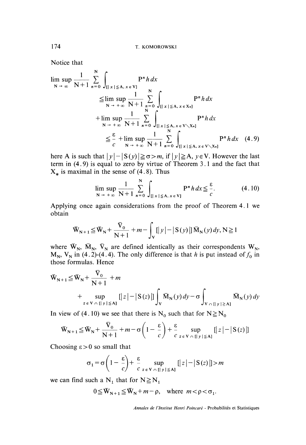Notice that

$$
\limsup_{N \to \infty} \frac{1}{N+1} \sum_{n=0}^{N} \int_{\{|x| \le A, x \in V\}} P^{n} h dx
$$
\n
$$
\leq \limsup_{N \to +\infty} \frac{1}{N+1} \sum_{n=0}^{N} \int_{\{|x| \le A, x \in X_{*} \}} P^{n} h dx
$$
\n
$$
+ \limsup_{N \to +\infty} \frac{1}{N+1} \sum_{n=0}^{N} \int_{\{|x| \le A, x \in V \setminus X_{*} \}} P^{n} h dx
$$
\n
$$
\leq \frac{\varepsilon}{c} + \limsup_{N \to +\infty} \frac{1}{N+1} \sum_{n=0}^{N} \int_{\{|x| \le A, x \in V \setminus X_{*} \}} P^{n} h dx \quad (4.9)
$$

here A is such that  $|y| - |S(y)| \ge \sigma > m$ , if  $|y| \ge A$ ,  $y \in V$ . However the last term in  $(4.9)$  is equal to zero by virtue of Theorem 3.1 and the fact that  $X_*$  is maximal in the sense of (4.8). Thus

$$
\lim_{N \to +\infty} \sup_{N+1} \frac{1}{N+1} \sum_{n=0}^{N} \int_{\left[ |x| \le A, x \in V \right]} P^{n} h \, dx \le \frac{\varepsilon}{c}.
$$
 (4.10)

Applying once again considerations from the proof of Theorem 4. 1 we obtain

$$
\overline{\mathbf{W}}_{N+1} \leq \overline{\mathbf{W}}_N + \frac{\overline{\mathbf{V}}_0}{N+1} + m - \int_{\mathbf{V}} [|\mathbf{y}| - |\mathbf{S}(\mathbf{y})|] \overline{\mathbf{M}}_N(\mathbf{y}) d\mathbf{y}, N \geq 1
$$

where  $\bar{W}_{N}$ ,  $\bar{M}_{N}$ ,  $\bar{V}_{N}$  are defined identically as their correspondents  $W_{N}$ ,  $M_N$ ,  $V_N$  in (4.2)-(4.4). The only difference is that h is put instead of  $f_0$  in those formulas. Hence

$$
\begin{aligned} \n\bar{\mathbf{W}}_{N+1} &\leq \bar{\mathbf{W}}_N + \frac{\mathbf{V}_0}{N+1} + m \\ \n&+ \sup_{z \in \mathbf{V} \cap \{ |y| \leq A \}} \left[ |z| - |\mathbf{S}(z)| \right] \int_{\mathbf{V}} \bar{\mathbf{M}}_N(y) \, dy - \sigma \int_{\mathbf{V} \cap \{ |y| \geq A \}} \bar{\mathbf{M}}_N(y) \, dy \end{aligned}
$$

In view of (4.10) we see that there is N<sub>0</sub> such that for  $N \ge N_0$ 

$$
\overline{\mathbf{W}}_{N+1} \leq \overline{\mathbf{W}}_N + \frac{\mathbf{V}_0}{N+1} + m - \sigma \left( 1 - \frac{\varepsilon}{c} \right) + \frac{\varepsilon}{c} \sup_{z \in \mathbf{V} \cap [|\, y \, | \leq A]} [|z| - |S(z)|]
$$

Choosing  $\varepsilon > 0$  so small that

$$
\sigma_1 = \sigma \left( 1 - \frac{\varepsilon}{c} \right) + \frac{\varepsilon}{c} \sup_{z \in V} \sup_{\cap [l, y] \le A]} [ |z| - |S(z)| ] > m
$$

we can find such a  $N_1$  that for  $N \ge N_1$ 

$$
0 \leq \bar{W}_{N+1} \leq \bar{W}_N + m - \rho, \quad \text{where} \quad m < \rho < \sigma_1.
$$

Annales de l'Institut Henri Poincaré - Probabilités et Statistiques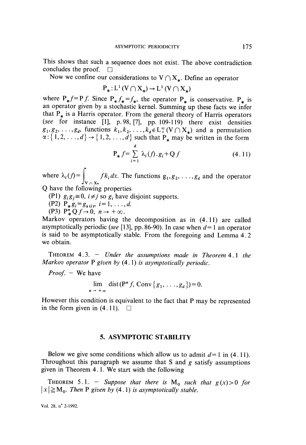This shows that such a sequence does not exist. The above contradiction concludes the proof.  $\Box$ concludes the proof.

Now we confine our considerations to  $V \cap X_{*}$ . Define an operator

$$
P_*: L^1(V \cap X_*) \to L^1(V \cap X_*)
$$

where  $P_* f = P f$ . Since  $P_* f_* = f_*$ , the operator  $P_*$  is conservative.  $P_*$  is an operator given by a stochastic kernel. Summing up these facts we infer that  $P_*$  is a Harris operator. From the general theory of Harris operators (see for instance  $[1]$ , p. 98,  $[7]$ , pp. 109-119) there exist densities  $g_1, g_2, \ldots, g_d$ , functions  $k_1, k_2, \ldots, k_d \in L^{\infty}(\mathbb{V} \cap X_*)$  and a permutation  $\alpha:\{1,2,\ldots,a\} \to \{1,2,\ldots,d\}$  such that  $P_*$  may be written in the form

$$
\mathbf{P}_{*} f = \sum_{i=1}^{a} \lambda_i(f) \cdot g_i + \mathbf{Q} f \tag{4.11}
$$

where  $\lambda_i(f) = \int_{V \cap X^*} f k_i dx$ . The functions  $g_1, g_2, \ldots, g_d$  and the operator Q have the following properties

(P1)  $g_i g_j \equiv 0$ ,  $i \neq j$  so  $g_i$  have disjoint supports.

(P2)  $P_* g_i = g_{\alpha(i)}, i = 1, ..., d$ .

 $\overrightarrow{P_*Q}$   $\overrightarrow{P_*Q}$   $\overrightarrow{O}$   $\rightarrow \infty$ .

Markov operators having the decomposition as in  $(4.11)$  are called asymptotically periodic (see [13], pp. 86-90). In case when  $d=1$  an operator is said to be asymptotically stable. From the foregoing and Lemma 4. 2 we obtain.

THEOREM  $4.3.$  - Under the assumptions made in Theorem  $4.1$  the Markov operator  $P$  given by  $(4.1)$  is asymptotically periodic.

*Proof.*  $-$  We have

$$
\lim_{n \to +\infty} \operatorname{dist}(\mathbf{P}^n f, \operatorname{Conv} \{g_1, \ldots, g_d\}) = 0.
$$

However this condition is equivalent to the fact that P may be represented in the form given in (4.11).  $\square$ 

## 5. ASYMPTOTIC STABILITY

Below we give some conditions which allow us to admit  $d=1$  in (4.11). Throughout this paragraph we assume that S and  $g$  satisfy assumptions given in Theorem 4.1. We start with the following

THEOREM 5.1. - Suppose that there is  $M_0$  such that  $g(x) > 0$  for  $|x| \ge M_0$ . Then P given by (4.1) is asymptotically stable.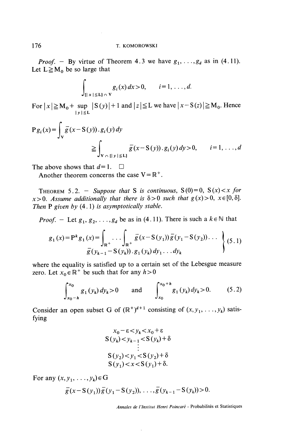*Proof.* - By virtue of Theorem 4.3 we have  $g_1, \ldots, g_d$  as in (4.11). Let  $L \geq M_0$  be so large that

$$
g_i(x) dx > 0, \qquad i = 1, \ldots, d.
$$

For  $|x| \ge M_0 + \sup_{|y| \le L} |S(y)| + 1$  and  $|z| \le L$  we have  $|x - S(z)| \ge M_0$ . Hence

$$
P g_i(x) = \int_V \overline{g}(x - S(y)) \cdot g_i(y) dy
$$
  
\n
$$
\geq \int_{V \cap [|y| \leq L]} \overline{g}(x - S(y)) \cdot g_i(y) dy > 0, \qquad i = 1, ..., d
$$

The above shows that  $d=1$ .  $\Box$ 

Another theorem concerns the case  $V = \mathbb{R}^+$ .

THEOREM 5.2. - Suppose that S is continuous,  $S(0)=0$ ,  $S(x) < x$  for  $x > 0$ . Assume additionally that there is  $\delta > 0$  such that  $g(x) > 0$ ,  $x \in [0, \delta]$ . Then  $P$  given by  $(4.1)$  is asymptotically stable.

*Proof.* - Let  $g_1, g_2, \ldots, g_d$  be as in (4.11). There is such a  $k \in \mathbb{N}$  that

$$
g_1(x) = P^k g_1(x) = \int_{\mathbb{R}^+} \dots \int_{\mathbb{R}^+} \bar{g}(x - S(y_1)) \bar{g}(y_1 - S(y_2)) \dots \longrightarrow_{\bar{g}(y_{k-1} - S(y_k)) \cdot g_1(y_k) dy_1 \dots dy_k} (5.1)
$$

where the equality is satisfied up to a certain set of the Lebesgue measure zero. Let  $x_0 \in \mathbb{R}^+$  be such that for any  $h > 0$ 

$$
\int_{x_0-h}^{x_0} g_1(y_k) dy_k > 0 \quad \text{and} \quad \int_{x_0}^{x_0+h} g_1(y_k) dy_k > 0. \quad (5.2)
$$

Consider an open subset G of  $(\mathbb{R}^+)^{d+1}$  consisting of  $(x, y_1, \ldots, y_k)$  satisfying

$$
x_0 - \varepsilon < y_k < x_0 + \varepsilon
$$
  
\n
$$
S(y_k) < y_{k-1} < S(y_k) + \delta
$$
  
\n
$$
\vdots
$$
  
\n
$$
S(y_2) < y_1 < S(y_2) + \delta
$$
  
\n
$$
S(y_1) < x < S(y_1) + \delta.
$$

For any  $(x, y_1, \ldots, y_k) \in G$ 

$$
\overline{g}(x-S(y_1))\overline{g}(y_1-S(y_2)), \ldots, \overline{g}(y_{k-1}-S(y_k)) > 0.
$$

Annales de l'lnstitut Henri Poincaré - Probabilités et Statistiques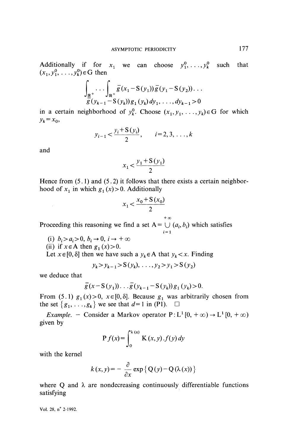Additionally if for  $x_1$  we can choose  $y_1^0, \ldots, y_k^0$  such that  $(x_1, y_1^0, \ldots, y_k^0) \in G$  then

$$
\int_{\frac{\mathbb{R}^{+}}{\mathcal{G}}(y_{k-1}-S(y_{k}))g_{1}(y_{k})}\overline{g}(y_{1}-S(y_{2}))\dots
$$
  
 
$$
\frac{\partial}{\partial g}(y_{k-1}-S(y_{k}))g_{1}(y_{k})dy_{1},\dots,dy_{k-1}>0
$$

in a certain neighborhood of  $y_k^0$ . Choose  $(x_1, y_1, \ldots, y_k) \in G$  for which  $y_k = x_0$ ,

$$
y_{i-1} < \frac{y_i + S(y_i)}{2}
$$
,  $i = 2, 3, ..., k$ 

and

$$
x_1 < \frac{y_1 + S(y_1)}{2}
$$

Hence from  $(5.1)$  and  $(5.2)$  it follows that there exists a certain neighborhood of  $x_1$  in which  $g_1(x) > 0$ . Additionally

$$
x_1 < \frac{x_0 + S(x_0)}{2}
$$

 $+\infty$ 

i= 1

Proceeding this reasoning we find a set  $A = \bigcup (a_i, b_i)$  which satisfies

(i)  $b_i > a_i > 0$ ,  $b_i \rightarrow 0$ ,  $i \rightarrow +\infty$ 

(ii) if  $x \in A$  then  $g_1(x) > 0$ .

Let  $x \in [0, \delta]$  then we have such a  $y_k \in A$  that  $y_k < x$ . Finding

$$
y_k > y_{k-1} > S(y_k), \ldots, y_2 > y_1 > S(y_2)
$$

we deduce that

$$
\overline{g}(x-S(y_1))\dots\overline{g}(y_{k-1}-S(y_k))g_1(y_k)>0.
$$

From (5.1)  $g_1(x) > 0$ ,  $x \in [0, \delta]$ . Because  $g_1$  was arbitrarily chosen from the set  $\{g_1, \ldots, g_k\}$  we see that  $d=1$  in (P1).  $\Box$ 

*Example.* - Consider a Markov operator  $P: L^1[0, +\infty) \to L^1[0, +\infty)$ given by

$$
P f(x) = \int_0^{\lambda(x)} K(x, y) . f(y) dy
$$

with the kernel

$$
k(x, y) = -\frac{\partial}{\partial x} \exp \{ Q(y) - Q(\lambda(x)) \}
$$

where Q and  $\lambda$  are nondecreasing continuously differentiable functions satisfying .